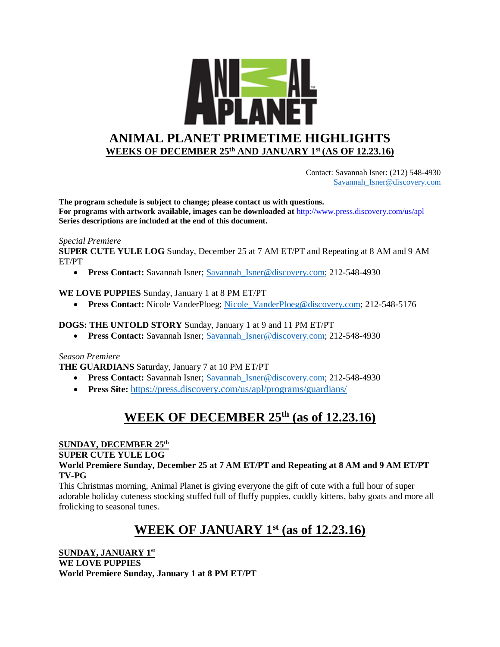

 Contact: Savannah Isner: (212) 548-4930 [Savannah\\_Isner@discovery.com](mailto:Savannah_Isner@discovery.com)

**The program schedule is subject to change; please contact us with questions. For programs with artwork available, images can be downloaded at** http://www.press.discovery.com/us/apl **Series descriptions are included at the end of this document.** 

#### *Special Premiere*

**SUPER CUTE YULE LOG** Sunday, December 25 at 7 AM ET/PT and Repeating at 8 AM and 9 AM ET/PT

**Press Contact:** Savannah Isner; Savannah Isner@discovery.com; 212-548-4930

#### **WE LOVE PUPPIES** Sunday, January 1 at 8 PM ET/PT

**Press Contact:** Nicole VanderPloeg; Nicole VanderPloeg@discovery.com; 212-548-5176

#### **DOGS: THE UNTOLD STORY** Sunday, January 1 at 9 and 11 PM ET/PT

**Press Contact:** Savannah Isner; Savannah Isner@discovery.com; 212-548-4930

#### *Season Premiere*

**THE GUARDIANS** Saturday, January 7 at 10 PM ET/PT

- **Press Contact:** Savannah Isner; Savannah Isner@discovery.com; 212-548-4930
- **Press Site:** <https://press.discovery.com/us/apl/programs/guardians/>

## **WEEK OF DECEMBER 25th (as of 12.23.16)**

#### **SUNDAY, DECEMBER 25th**

#### **SUPER CUTE YULE LOG**

**World Premiere Sunday, December 25 at 7 AM ET/PT and Repeating at 8 AM and 9 AM ET/PT TV-PG**

This Christmas morning, Animal Planet is giving everyone the gift of cute with a full hour of super adorable holiday cuteness stocking stuffed full of fluffy puppies, cuddly kittens, baby goats and more all frolicking to seasonal tunes.

# **WEEK OF JANUARY 1st (as of 12.23.16)**

**SUNDAY, JANUARY 1st WE LOVE PUPPIES World Premiere Sunday, January 1 at 8 PM ET/PT**